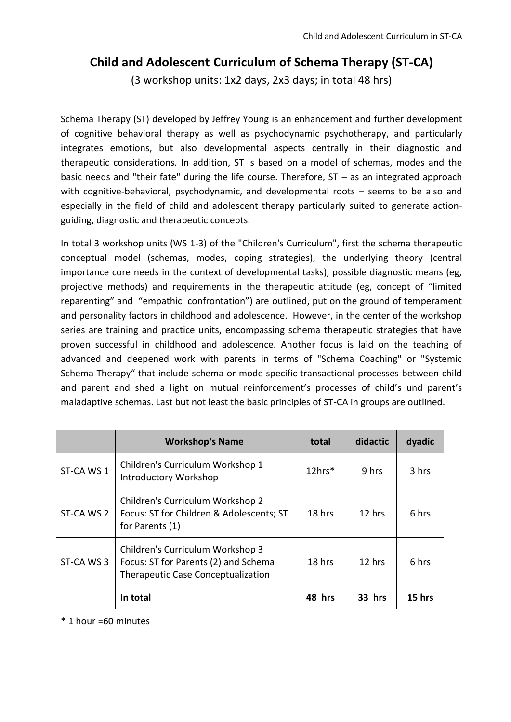# **Child and Adolescent Curriculum of Schema Therapy (ST-CA)**

(3 workshop units: 1x2 days, 2x3 days; in total 48 hrs)

Schema Therapy (ST) developed by Jeffrey Young is an enhancement and further development of cognitive behavioral therapy as well as psychodynamic psychotherapy, and particularly integrates emotions, but also developmental aspects centrally in their diagnostic and therapeutic considerations. In addition, ST is based on a model of schemas, modes and the basic needs and "their fate" during the life course. Therefore, ST – as an integrated approach with cognitive-behavioral, psychodynamic, and developmental roots – seems to be also and especially in the field of child and adolescent therapy particularly suited to generate actionguiding, diagnostic and therapeutic concepts.

In total 3 workshop units (WS 1-3) of the "Children's Curriculum", first the schema therapeutic conceptual model (schemas, modes, coping strategies), the underlying theory (central importance core needs in the context of developmental tasks), possible diagnostic means (eg, projective methods) and requirements in the therapeutic attitude (eg, concept of "limited reparenting" and "empathic confrontation") are outlined, put on the ground of temperament and personality factors in childhood and adolescence. However, in the center of the workshop series are training and practice units, encompassing schema therapeutic strategies that have proven successful in childhood and adolescence. Another focus is laid on the teaching of advanced and deepened work with parents in terms of "Schema Coaching" or "Systemic Schema Therapy" that include schema or mode specific transactional processes between child and parent and shed a light on mutual reinforcement's processes of child's und parent's maladaptive schemas. Last but not least the basic principles of ST-CA in groups are outlined.

|            | <b>Workshop's Name</b>                                                                                         | total  | didactic | dyadic |
|------------|----------------------------------------------------------------------------------------------------------------|--------|----------|--------|
| ST-CA WS 1 | Children's Curriculum Workshop 1<br>Introductory Workshop                                                      | 12hrs* | 9 hrs    | 3 hrs  |
| ST-CA WS 2 | Children's Curriculum Workshop 2<br>Focus: ST for Children & Adolescents; ST<br>for Parents (1)                | 18 hrs | 12 hrs   | 6 hrs  |
| ST-CA WS 3 | Children's Curriculum Workshop 3<br>Focus: ST for Parents (2) and Schema<br>Therapeutic Case Conceptualization | 18 hrs | 12 hrs   | 6 hrs  |
|            | In total                                                                                                       | 48 hrs | 33 hrs   | 15 hrs |

\* 1 hour =60 minutes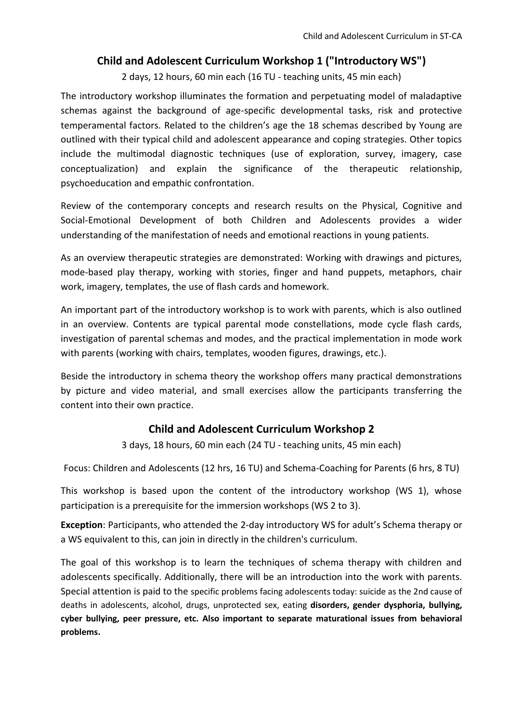## **Child and Adolescent Curriculum Workshop 1 ("Introductory WS")**

2 days, 12 hours, 60 min each (16 TU - teaching units, 45 min each)

The introductory workshop illuminates the formation and perpetuating model of maladaptive schemas against the background of age-specific developmental tasks, risk and protective temperamental factors. Related to the children's age the 18 schemas described by Young are outlined with their typical child and adolescent appearance and coping strategies. Other topics include the multimodal diagnostic techniques (use of exploration, survey, imagery, case conceptualization) and explain the significance of the therapeutic relationship, psychoeducation and empathic confrontation.

Review of the contemporary concepts and research results on the Physical, Cognitive and Social-Emotional Development of both Children and Adolescents provides a wider understanding of the manifestation of needs and emotional reactions in young patients.

As an overview therapeutic strategies are demonstrated: Working with drawings and pictures, mode-based play therapy, working with stories, finger and hand puppets, metaphors, chair work, imagery, templates, the use of flash cards and homework.

An important part of the introductory workshop is to work with parents, which is also outlined in an overview. Contents are typical parental mode constellations, mode cycle flash cards, investigation of parental schemas and modes, and the practical implementation in mode work with parents (working with chairs, templates, wooden figures, drawings, etc.).

Beside the introductory in schema theory the workshop offers many practical demonstrations by picture and video material, and small exercises allow the participants transferring the content into their own practice.

## **Child and Adolescent Curriculum Workshop 2**

3 days, 18 hours, 60 min each (24 TU - teaching units, 45 min each)

Focus: Children and Adolescents (12 hrs, 16 TU) and Schema-Coaching for Parents (6 hrs, 8 TU)

This workshop is based upon the content of the introductory workshop (WS 1), whose participation is a prerequisite for the immersion workshops (WS 2 to 3).

**Exception**: Participants, who attended the 2-day introductory WS for adult's Schema therapy or a WS equivalent to this, can join in directly in the children's curriculum.

The goal of this workshop is to learn the techniques of schema therapy with children and adolescents specifically. Additionally, there will be an introduction into the work with parents. Special attention is paid to the specific problems facing adolescents today: suicide as the 2nd cause of deaths in adolescents, alcohol, drugs, unprotected sex, eating **disorders, gender dysphoria, bullying, cyber bullying, peer pressure, etc. Also important to separate maturational issues from behavioral problems.**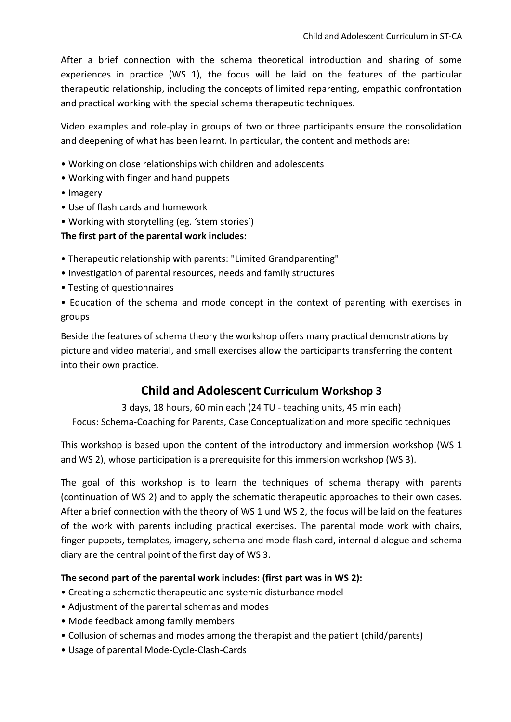After a brief connection with the schema theoretical introduction and sharing of some experiences in practice (WS 1), the focus will be laid on the features of the particular therapeutic relationship, including the concepts of limited reparenting, empathic confrontation and practical working with the special schema therapeutic techniques.

Video examples and role-play in groups of two or three participants ensure the consolidation and deepening of what has been learnt. In particular, the content and methods are:

- Working on close relationships with children and adolescents
- Working with finger and hand puppets
- Imagery
- Use of flash cards and homework
- Working with storytelling (eg. 'stem stories')

### **The first part of the parental work includes:**

- Therapeutic relationship with parents: "Limited Grandparenting"
- Investigation of parental resources, needs and family structures
- Testing of questionnaires
- Education of the schema and mode concept in the context of parenting with exercises in groups

Beside the features of schema theory the workshop offers many practical demonstrations by picture and video material, and small exercises allow the participants transferring the content into their own practice.

# **Child and Adolescent Curriculum Workshop 3**

3 days, 18 hours, 60 min each (24 TU - teaching units, 45 min each) Focus: Schema-Coaching for Parents, Case Conceptualization and more specific techniques

This workshop is based upon the content of the introductory and immersion workshop (WS 1 and WS 2), whose participation is a prerequisite for this immersion workshop (WS 3).

The goal of this workshop is to learn the techniques of schema therapy with parents (continuation of WS 2) and to apply the schematic therapeutic approaches to their own cases. After a brief connection with the theory of WS 1 und WS 2, the focus will be laid on the features of the work with parents including practical exercises. The parental mode work with chairs, finger puppets, templates, imagery, schema and mode flash card, internal dialogue and schema diary are the central point of the first day of WS 3.

### **The second part of the parental work includes: (first part was in WS 2):**

- Creating a schematic therapeutic and systemic disturbance model
- Adjustment of the parental schemas and modes
- Mode feedback among family members
- Collusion of schemas and modes among the therapist and the patient (child/parents)
- Usage of parental Mode-Cycle-Clash-Cards